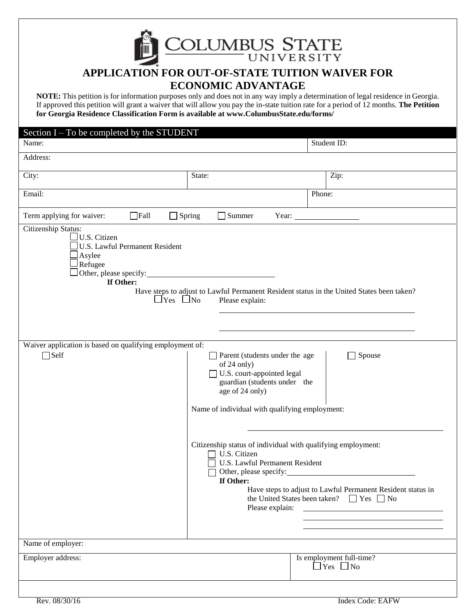COLUMBUS STATE

# **APPLICATION FOR OUT-OF-STATE TUITION WAIVER FOR ECONOMIC ADVANTAGE**

**NOTE:** This petition is for information purposes only and does not in any way imply a determination of legal residence in Georgia. If approved this petition will grant a waiver that will allow you pay the in-state tuition rate for a period of 12 months. **The Petition for Georgia Residence Classification Form is available at www.ColumbusState.edu/forms/**

### $Section I$  –  $To be completed by the STI IDENT$

| DUUUT 1<br>To be completed by<br>$\mathbf{u}$ $\mathbf{v}$ $\mathbf{v}$ $\mathbf{v}$ $\mathbf{v}$<br>Name:                                                                                                                                                                                                                                                                                                                                                                                                                                                                                                                                                                                                                                                                                                                  |        | Student ID: |                                                  |  |
|-----------------------------------------------------------------------------------------------------------------------------------------------------------------------------------------------------------------------------------------------------------------------------------------------------------------------------------------------------------------------------------------------------------------------------------------------------------------------------------------------------------------------------------------------------------------------------------------------------------------------------------------------------------------------------------------------------------------------------------------------------------------------------------------------------------------------------|--------|-------------|--------------------------------------------------|--|
| Address:                                                                                                                                                                                                                                                                                                                                                                                                                                                                                                                                                                                                                                                                                                                                                                                                                    |        |             |                                                  |  |
| City:                                                                                                                                                                                                                                                                                                                                                                                                                                                                                                                                                                                                                                                                                                                                                                                                                       | State: |             | Zip:                                             |  |
| Email:                                                                                                                                                                                                                                                                                                                                                                                                                                                                                                                                                                                                                                                                                                                                                                                                                      |        |             | Phone:                                           |  |
| Term applying for waiver:<br>$\Box$ Fall<br>$\Box$ Spring<br>$\Box$ Summer<br>Year: $\qquad \qquad$                                                                                                                                                                                                                                                                                                                                                                                                                                                                                                                                                                                                                                                                                                                         |        |             |                                                  |  |
| $\exists$ U.S. Citizen<br>U.S. Lawful Permanent Resident<br>$\frac{1}{2}$ Asylee<br>⊥Refugee<br>If Other:<br>Have steps to adjust to Lawful Permanent Resident status in the United States been taken?<br>$\Box$ Yes $\Box$ No<br>Please explain:<br>Waiver application is based on qualifying employment of:<br>$\Box$ Self<br>Parent (students under the age<br>Spouse<br>of 24 only)<br>U.S. court-appointed legal<br>guardian (students under the<br>age of 24 only)<br>Name of individual with qualifying employment:<br>Citizenship status of individual with qualifying employment:<br>U.S. Citizen<br>U.S. Lawful Permanent Resident<br>Other, please specify:<br>If Other:<br>Have steps to adjust to Lawful Permanent Resident status in<br>the United States been taken? $\Box$ Yes $\Box$ No<br>Please explain: |        |             |                                                  |  |
| Name of employer:                                                                                                                                                                                                                                                                                                                                                                                                                                                                                                                                                                                                                                                                                                                                                                                                           |        |             |                                                  |  |
| Employer address:                                                                                                                                                                                                                                                                                                                                                                                                                                                                                                                                                                                                                                                                                                                                                                                                           |        |             | Is employment full-time?<br>$\Box$ Yes $\Box$ No |  |
| Rev. 08/30/16<br><b>Index Code: EAFW</b>                                                                                                                                                                                                                                                                                                                                                                                                                                                                                                                                                                                                                                                                                                                                                                                    |        |             |                                                  |  |